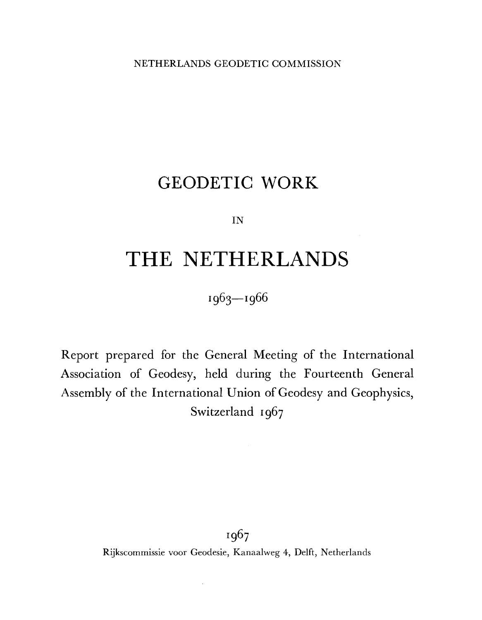NETHERLANDS GEODETIC COMMISSION

# GEODETIC WORK

IN

# THE NETHERLANDS

1963-1966

Report prepared for the General Meeting of the International Association of Geodesy, held during the Fourteenth General Assembly of the International Union of Geodesy and Geophysics, Switzerland 1967

> 1967 Rijkscommissie voor Geodesie, Kanaalweg 4, Delft, Netherlands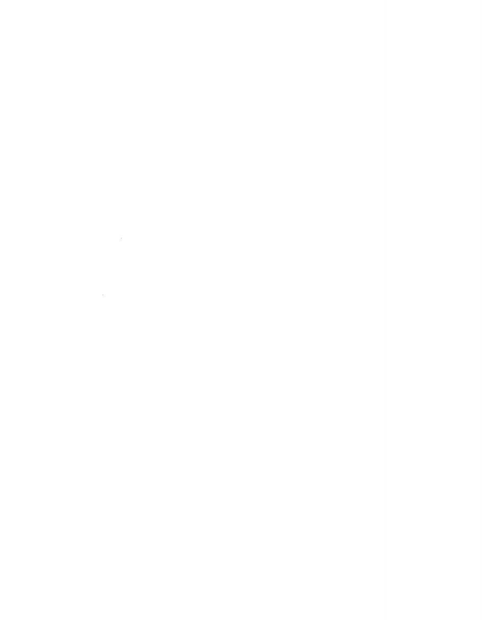$\label{eq:2.1} \frac{1}{\sqrt{2}}\int_{\mathbb{R}^3}\frac{1}{\sqrt{2}}\left(\frac{1}{\sqrt{2}}\int_{\mathbb{R}^3}\frac{1}{\sqrt{2}}\left(\frac{1}{\sqrt{2}}\int_{\mathbb{R}^3}\frac{1}{\sqrt{2}}\right)\frac{1}{\sqrt{2}}\right)\frac{1}{\sqrt{2}}\,d\mu$ 

 $\label{eq:2.1} \frac{1}{\sqrt{2}}\int_{\mathbb{R}^3}\frac{1}{\sqrt{2}}\left(\frac{1}{\sqrt{2}}\int_{\mathbb{R}^3}\frac{1}{\sqrt{2}}\left(\frac{1}{\sqrt{2}}\int_{\mathbb{R}^3}\frac{1}{\sqrt{2}}\right)\frac{1}{\sqrt{2}}\right)\frac{1}{\sqrt{2}}\,d\mu.$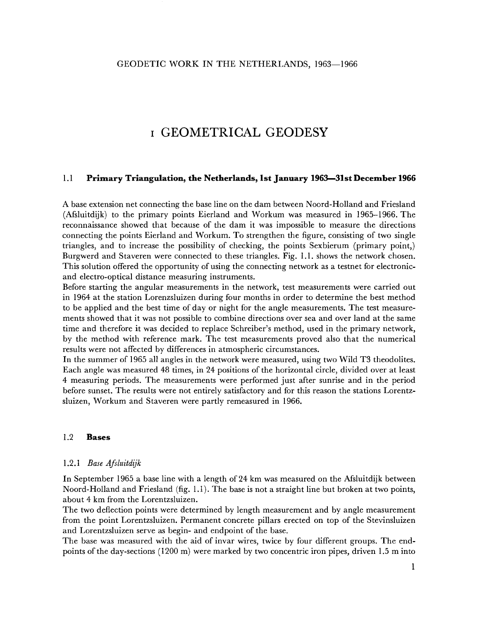# I GEOMETRICAL GEODESY

# 1.1 **Primary Triangulation, the Netherlands, 1st January 1963--31st December 1966**

A base extension net connecting the base line on the dam between Noord-Holland and Friesland (Afsluitdijk) to the primary points Eierland and Workum was measured in 1965-1966. The reconnaissance showed that because of the dam it was impossible to measure the directions connecting the points Eierland and Workum. To strengthen the figure, consisting of two single triangles, and to increase the possibility of checking, the points Sexbierum (primary point,) Burgwerd and Staveren were connected to these triangles. Fig. 1.1. shows the network chosen, This solution offered the opportunity of using the connecting network as a testnet for electronicand electro-optical distance measuring instruments.

Before starting the angular measurements in the network, test measurements were carried out in 1964 at the station Lorenzsluizen during four months in order to determine the best method to be applied and the best time of day or night for the angle measurements. The test measurements showed that it was not possible to combine directions over sea and over land at the same time and therefore it was decided to replace Schreiber's method, used in the primary network, by the method with reference mark. The test measurements proved also that the numerical results were not affected by differences in atmospheric circumstances.

In the summer of 1965 all angles in the network were measured, using two Wild T3 theodolites. Each angle was measured 48 times, in 24 positions of the horizontal circle, divided over at least 4 measuring periods. The measurements were performed just after sunrise and in the period before sunset. The results were not entirely satisfactory and for this reason the stations Lorentzsluizen, Workum and Staveren were partly remeasured in 1966.

# 1.2 **Bases**

#### 1.2.1 Base Afsluitdijk

In September 1965 a base line with a length of 24 km was measured on the Afsluitdijk between Noord-Holland and Friesland (fig. 1.1). The base is not a straight line but broken at two points, about 4 km from the Lorentzsluizen.

The two deflection points were determined by length measurement and by angle measurement from the point Lorentzsluizen. Permanent concrete pillars erected on top of the Stevinsluizen and Lorentzsluizen serve as begin- and endpoint of the base.

The base was measured with the aid of invar wires, twice by four different groups. The endpoints of the day-sections (1200 m) were marked by two concentric iron pipes, driven 1.5 m into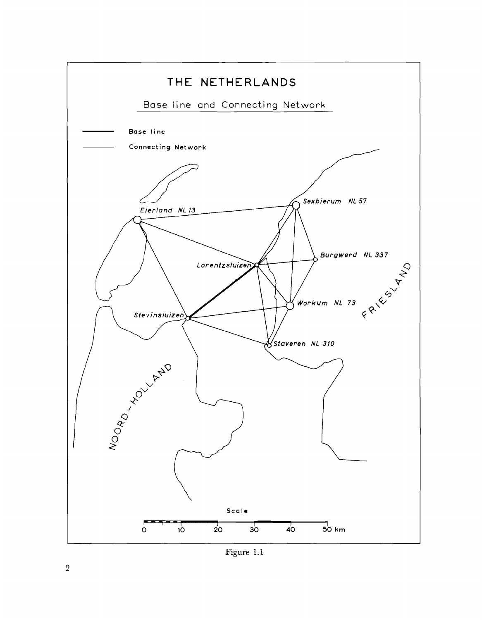

Figure 1.1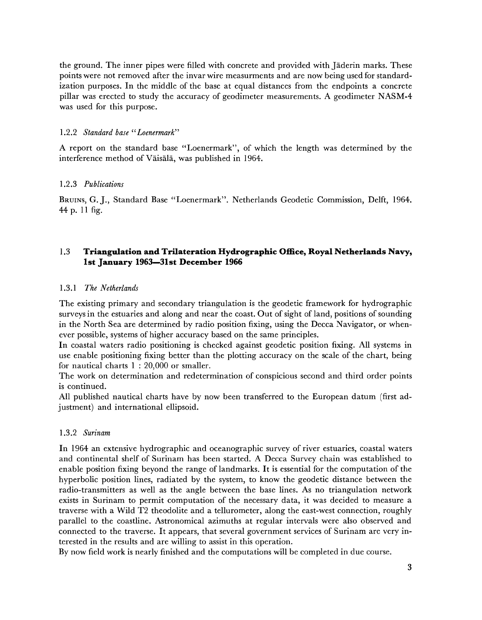the ground. The inner pipes were filled with concrete and provided with Jaderin marks. These points were not removed after the invar wire measurments and are now being used for standardization purposes. In the middle of the base at equal distances from the endpoints a concrete pillar was erected to study the accuracy of geodimeter measurements. A geodimeter NASM-4 was used for this purpose.

# 1.2.2 *Standard base* " *Loenermark"*

A report on the standard base "Loenermark", of which the length was determined by the interference method of Vaisala, was published in 1964.

# 1.2.3 *Publications*

BRUINS, G. J., Standard Base "Loenermark". Netherlands Geodetic Commission, Delft, 1964. 44 p. 11 fig.

# 1.3 **Triangulation and Trilateration Hydrographic Office, Royal Netherlands Navy, 1st January 1963-31st December 1966**

### 1.3.1 *The Netherlands*

The existing primary and secondary triangulation is the geodetic framework for hydrographic surveys in the estuaries and along and near the coast. Out of sight of land, positions of sounding in the North Sea are determined by radio position fixing, using the Decca Navigator, or whenever possible, systems of higher accuracy based on the same principles.

In coastal waters radio positioning is checked against geodetic position fixing. All systems in use enable positioning fixing better than the plotting accuracy on the scale of the chart, being for nautical charts 1 : 20,000 or smaller.

The work on determination and redetermination of conspicious second and third order points is continued.

All published nautical charts have by now been transferred to the European datum (first adjustment) and international ellipsoid.

## 1.3.2 *Surinam*

In 1964 an extensive hydrographic and oceanographic survey of river estuaries, coastal waters and continental shelf of Surinam has been started. A Decca Survey chain was established to enable position fixing beyond the range of landmarks. It is essential for the computation of the hyperbolic position lines, radiated by the system, to know the geodetic distance between the radio-transmitters as well as the angle between the base lines. As no triangulation network exists in Surinam to permit computation of the necessary data, it was decided to measure a traverse with a Wild T2 theodolite and a tellurometer, along the east-west connection, roughly parallel to the coastline. Astronomical azimuths at regular intervals were also observed and connected to the traverse. It appears, that several government services of Surinam are very interested in the results and are willing to assist in this operation.

By now field work is nearly finished and the computations will be completed in due course.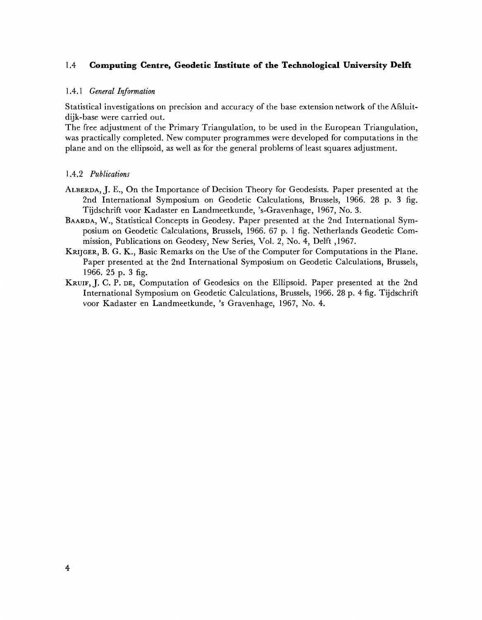# 1.4 **Computing Centre, Geodetic Institute of the Technological University Delft**

### 1.4.1 *General Information*

Statistical investigations on precision and accuracy of the base extension network of the Afsluitdijk-base were carried out.

The free adjustment of the Primary Triangulation, to be used in the European Triangulation, was practically completed. New computer programmes were developed for computations in the plane and on the ellipsoid, as well as for the general problems of least squares adjustment.

### 1.4.2 *Publications*

- ALBERDA, J. E., On the Importance of Decision Theory for Geodesists. Paper presented at the 2nd International Symposium on Geodetic Calculations, Brussels, 1966. 28 p. **3** fig. Tijdschrift voor Kadaster en Landmeetkunde, 'S-Gravenhage, 1967, No. **3.**
- BAARDA, W., Statistical Concepts in Geodesy. Paper presented at the 2nd International Symposium on Geodetic Calculations, Brussels, 1966. 67 p. 1 fig. Netherlands Geodetic Commission, Publications on Geodesy, New Series, Vol. 2, No. 4, Delft ,1967.
- KRIJGER, B. G. K., Basic Remarks on the Use of the Computer for Computations in the Plane. Paper presented at the 2nd International Symposium on Geodetic Calculations, Brussels, 1966. 25 p. **3** fig.
- KRUIF, J. C. P. DE, Computation of Geodesics on the Ellipsoid. Paper presented at the 2nd International Symposium on Geodetic Calculations, Brussels, 1966. 28 p. 4 fig. Tijdschrift voor Kadaster en Landmeetkunde, 'S Gravenhage, 1967, No. 4.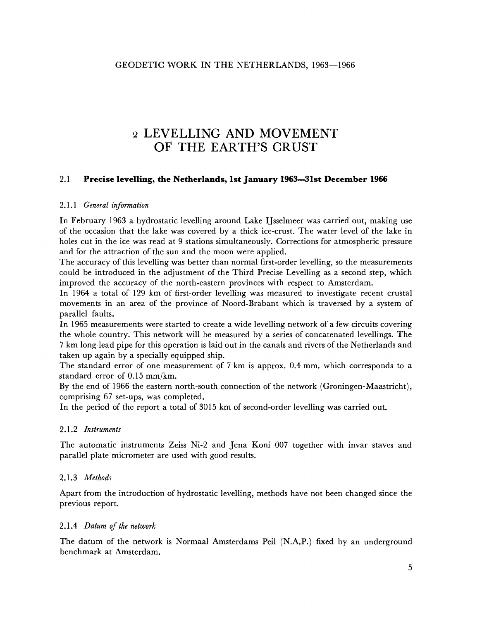# 2 LEVELLING AND MOVEMENT OF THE EARTH'S CRUST

# 2.1 **Precise levelling, the Netherlands, 1st January 1963-31st December 1966**

# 2.1.1 *General information*

In February 1963 a hydrostatic levelling around Lake IJsselmeer was carried out, making use of the occasion that the lake was covered by a thick ice-crust. The water level of the lake in holes cut in the ice was read at 9 stations simultaneously. Corrections for atmospheric pressure and for the attraction of the sun and the moon were applied.

The accuracy of this levelling was better than normal first-order levelling, so the measurements could be introduced in the adjustment of the Third Precise Levelling as a second step, which improved the accuracy of the north-eastern provinces with respect to Amsterdam.

In 1964 a total of 129 km of first-order levelling was measured to investigate recent crustal movements in an area of the province of Noord-Brabant which is traversed by a system of parallel faults.

In 1965 measurements were started to create a wide levelling network of a few circuits covering the whole country. This network will be measured by a series of concatenated levellings. The 7 km long lead pipe for this operation is laid out in the canals and rivers of the Netherlands and taken up again by a specially equipped ship.

The standard error of one measurement of 7 km is approx. 0.4 mm. which corresponds to a standard error of 0.15 mm/km.

By the end of 1966 the eastern north-south connection of the network (Groningen-Maastricht), comprising 67 set-ups, was completed.

In the period of the report a total of 3015 km of second-order levelling was carried out.

# 2.1.2 *Instruments*

The automatic instruments Zeiss Ni-2 and Jena Koni 007 together with invar staves and parallel plate micrometer are used with good results.

# 2.1.3 *Methods*

Apart from the introduction of hydrostatic levelling, methods have not been changed since the previous report.

# 2.1.4 *Datum of the network*

The datum of the network is Normaal Amsterdams Peil (N.A.P.) fixed by an underground benchmark at Amsterdam.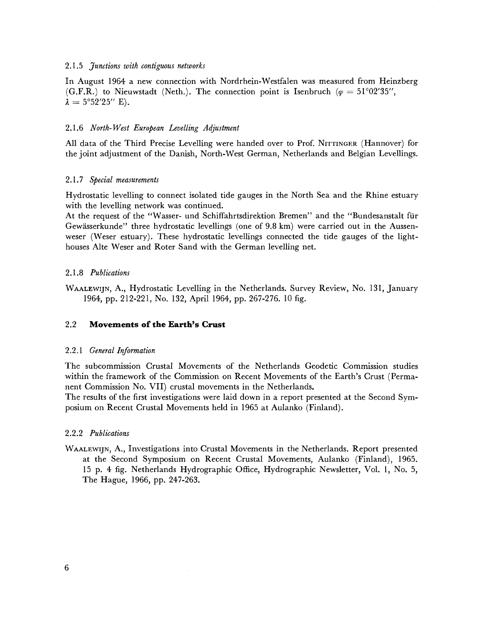#### 2.1.5 *Junctions with contiguous networks*

In August 1964 a new connection with Nordrhein-Westfalen was measured from Heinzberg (G.F.R.) to Nieuwstadt (Neth.). The connection point is Isenbruch  $(\varphi = 51^{\circ}02'35'')$ ,  $\lambda = 5^{\circ}52'25''$  E).

#### 2.1.6 *North- West European Levelling Adjustment*

All data of the Third Precise Levelling were handed over to Prof. NITTINGER (Hannover) for the joint adjustment of the Danish, North-West German, Netherlands and Belgian Levellings.

#### 2.1.7 *Special measurements*

Hydrostatic levelling to connect isolated tide gauges in the North Sea and the Rhine estuary with the levelling network was continued.

At the request of the "Wasser- und Schiffahrtsdirektion Bremen" and the "Bundesanstalt fur Gewasserkunde" three hydrostatic levellings (one of 9.8 km) were carried out in the Aussenweser (Weser estuary). These hydrostatic levellings connected the tide gauges of the lighthouses Alte Weser and Roter Sand with the German levelling net.

#### 2.1.8 *Publications*

WAALEWIJN, A., Hydrostatic Levelling in the Netherlands. Survey Review, No. 131, January 1964, pp. 212-221, No. 132, April 1964, pp. 267-276. 10 fig.

# 2.2 **Movements of the Earth's Crust**

#### 2.2.1 *General Information*

The subcommission Crustal Movements of the Netherlands Geodetic Commission studies within the framework of the Commission on Recent Movements of the Earth's Crust (Permanent Commission No. VII) crustal movements in the Netherlands.

The results of the first investigations were laid down in a report presented at the Second Symposium on Recent Crustal Movements held in 1965 at Aulanko (Finland).

#### 2.2.2 *Publications*

WAALEWIJN, A., Investigations into Crustal Movements in the Netherlands. Report presented at the Second Symposium on Recent Crustal Movements, Aulanko (Finland), 1965. 15 p. 4 fig. Netherlands Hydrographic Office, Hydrographic Newsletter, Vol. 1, No. 5, The Hague, 1966, pp. 247-263.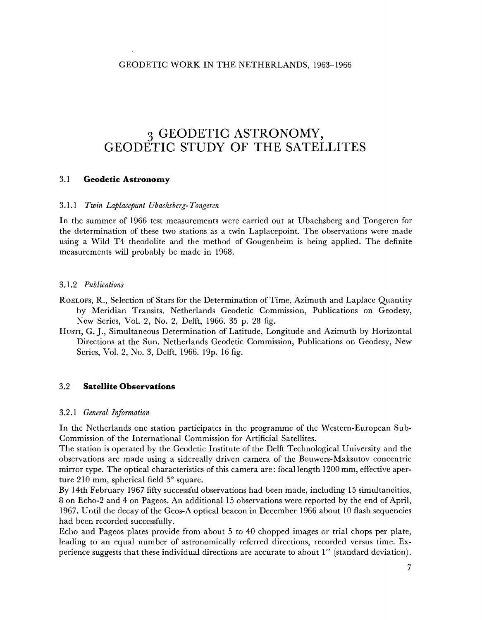# 3 GEODETIC ASTRONOMY, GEODETIC STUDY OF THE SATELLITES

# 3.1 **Geodetic Astronomy**

#### 3.1.1 *Twin Laplacepunt Ubachsberg- Tongeren*

In the summer of 1966 test measurements were carried out at Ubachsberg and Tongeren for the determination of these two stations as a twin Laplacepoint. The observations were made using a Wild T4 theodolite and the method of Gougenheim is being applied. The definite measurements will probably be made in 1968.

#### 3.1.2 *Publications*

- ROELOFS, R., Selection of Stars for the Determination of Time, Azimuth and Laplace Quantity by Meridian Transits. Netherlands Geodetic Commission, Publications on Geodesy, New Series, Vol. 2, No. 2, Delft, 1966. 35 p. 28 fig.
- HUSTI, G. J., Simultaneous Determination of Latitude, Longitude and Azimuth by Horizontal Directions at the Sun. Netherlands Geodetic Commission, Publications on Geodesy, New Series, Vol. 2, No. 3, Delft, 1966. 19p. 16 fig.

## 3.2 **Satellite Observations**

## 3.2.1 *General Information*

In the Netherlands one station participates in the programme of the Western-European Sub-Commission of the International Commission for Artificial Satellites.

The station is operated by the Geodetic Institute of the Delft Technological University and the observations are made using a sidereally driven camera of the Bouwers-Maksutov concentric mirror type. The optical characteristics of this camera are : focal length 1200 mm, effective aperture 210 mm, spherical field 5° square.

By 14th February 1967 fifty successful observations had been made, including 15 simultaneities, 8 on Echo-2 and 4 on Pageos. An additional 15 observations were reported by the end of April, 1967. Until the decay of the Geos-A optical beacon in December 1966 about 10 flash sequencies had been recorded successfully.

Echo and Pageos plates provide from about 5 to 40 chopped images or trial chops per plate, leading to an equal number of astronomically referred directions, recorded versus time. Experience suggests that these individual directions are accurate to about 1" (standard deviation).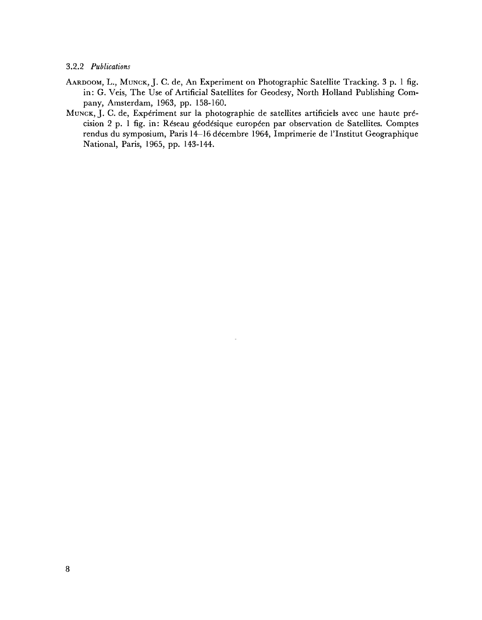# 3.2.2 Publications

- AARDOOM, L., MUNCK, J. C. de, An Experiment on Photographic Satellite Tracking. 3 p. 1 fig. in: G. Veis, The Use of Artificial Satellites for Geodesy, North Holland Publishing Company, Amsterdam, 1963, pp. 158-160.
- MUNCK, J. C. de, Expériment sur la photographie de satellites artificiels avec une haute précision 2 p. 1 fig. in: Réseau géodésique européen par observation de Satellites. Comptes rendus du symposium, Paris 14-16 décembre 1964, Imprimerie de l'Institut Geographique National, Paris, 1965, pp. 143-144.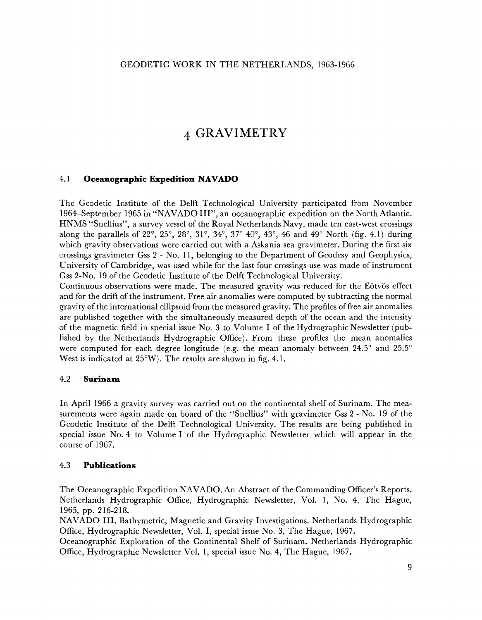# 4 GRAVIMETRY

# 4.1 **Oceanographic Expedition NAVADO**

The Geodetic Institute of the Delft Technological University participated from November 1964-September 1965 in "NAVADO 111", an oceanographic expedition on the North Atlantic. HNMS "Snellius", a survey vessel of the Royal Netherlands Navy, made ten east-west crossings along the parallels of  $22^\circ$ ,  $25^\circ$ ,  $28^\circ$ ,  $31^\circ$ ,  $34^\circ$ ,  $37^\circ$   $40^\circ$ ,  $43^\circ$ ,  $46$  and  $49^\circ$  North (fig. 4.1) during which gravity observations were carried out with a Askania sea gravimeter. During the first six crossings gravimeter Gss 2 - No. 11, belonging to the Department of Geodesy and Geophysics, University of Cambridge, was used while for the last four crossings use was made of instrument Gss 2-No. 19 of the Geodetic Institute of the Delft Technological University.

Continuous observations were made. The measured gravity was reduced for the Eötvös effect and for the drift of the instrument. Free air anomalies were computed by subtracting the normal gravity of the international ellipsoid from the measured gravity. The profiles of free air anomalies are published together with the simultaneously measured depth of the ocean and the intensity of the magnetic field in special issue No. 3 to Volume I of the Hydrographic Newsletter (published by the Netherlands Hydrographic Office). From these profiles the mean anomalies were computed for each degree longitude (e.g. the mean anomaly between  $24.5^{\circ}$  and  $25.5^{\circ}$ ) West is indicated at  $25^{\circ}$ W). The results are shown in fig. 4.1.

## 4.2 **Surinam**

In April 1966 a gravity survey was carried out on the continental shelf of Surinam. The measurements were again made on board of the "Snellius" with gravimeter Gss 2 - No. 19 of the Geodetic Institute of the Delft Technological University. The results are being published in special issue No. 4 to Volume I of the Hydrographic Newsletter which will appear in the course of 1967.

### 4.3 **Publications**

The Oceanographic Expedition NAVADO. An Abstract of the Commanding Officer's Reports. Netherlands Hydrographic Office, Hydrographic Newsletter, Vol. 1, No. 4, The Hague, 1965, pp. 216-218.

NAVADO 111. Bathymetric, Magnetic and Gravity Investigations. Netherlands Hydrographic Office, Hydrographic Newsletter, Vol. I, special issue No. 3, The Hague, 1967.

Oceanographic Exploration of the Continental Shelf of Surinam. Netherlands Hydrographic Office, Hydrographic Newsletter Vol. 1, special issue No. 4, The Hague, 1967.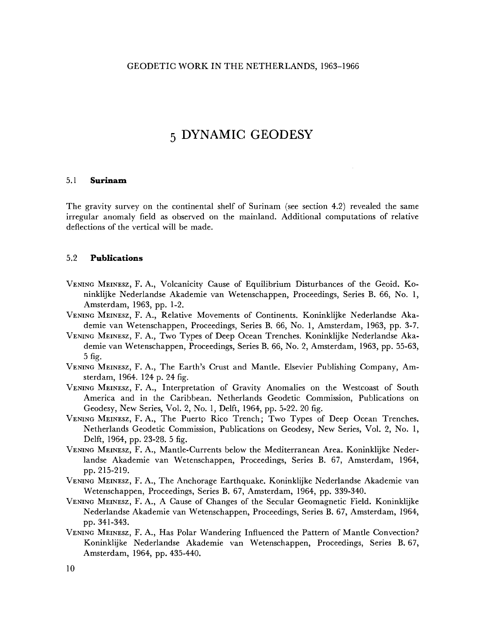# 5 DYNAMIC GEODESY

#### 5.1 **Surinam**

The gravity survey on the continental shelf of Surinam (see section 4.2) revealed the same irregular anomaly field as observed on the mainland. Additional computations of relative deflections of the vertical will be made.

# 5.2 **Publications**

- VENING MEINESZ, F. A., Volcanicity Cause of Equilibrium Disturbances of the Geoid. Koninklijke Nederlandse Akademie van Wetenschappen, Proceedings, Series B. 66, No. 1, Amsterdam, 1963, pp. 1-2.
- VENING MEINESZ, F. A., Relative Movements of Continents. Koninklijke Nederlandse Akademie van Wetenschappen, Proceedings, Series B. 66, No. 1, Amsterdam, 1963, pp. 3-7.
- VENING MEINESZ, F. A., TWO Types of Deep Ocean Trenches. Koninklijke Nederlandse Akademie van Wetenschappen, Proceedings, Series B. 66, No. 2, Amsterdam, 1963, pp. 55-63, 5 fig.
- VENING MEINESZ, F. A., The Earth's Crust and Mantle. Elsevier Publishing Company, Amsterdam, 1964. 124 p. 24 fig.
- VENING MEINESZ, F. A., Interpretation of Gravity Anomalies on the Westcoast of South America and in the Caribbean. Netherlands Geodetic Commission, Publications on Geodesy, New Series, Vol. 2, No. 1, Delft, 1964, pp. 5-22. 20 fig.
- VENING MEINESZ, F.A., The Puerto Rico Trench; Two Types of Deep Ocean Trenches. Netherlands Geodetic Commission, Publications on Geodesy, New Series, Vol. 2, No. 1, Delft, 1964, pp. 23-28. 5 fig.
- VENING MEINESZ, F. A., Mantle-Currents below the Mediterranean Area. Koninklijke Nederlandse Akademie van Wetenschappen, Proceedings, Series B. 67, Amsterdam, 1964, pp. 2 15-219.
- VENING MEINESZ, F. A., The Anchorage Earthquake. Koninklijke Nederlandse Akademie van Wetenschappen, Proceedings, Series B. 67, Amsterdam, 1964, pp. 339-340.
- VENING MEINESZ, F. A., A Cause of Changes of the Secular Geomagnetic Field. Koninklijke Nederlandse Akademie van Wetenschappen, Proceedings, Series B. 67, Amsterdam, 1964, pp. 341-343.
- VENING MEINESZ, F. A., Has Polar Wandering Influenced the Pattern of Mantle Convection? Koninklijke Nederlandse Akademie van Wetenschappen, Proceedings, Series B. 67, Amsterdam, 1964, pp. 435-440.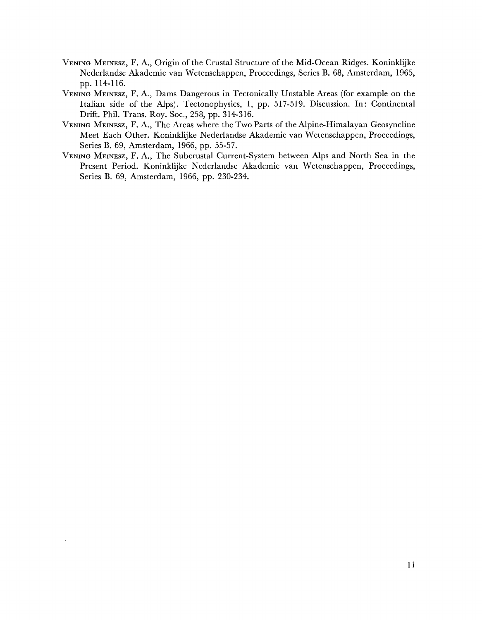- VENING MEINESZ, F. A., Origin of the Crustal Structure of the Mid-Ocean Ridges. Koninklijke Nederlandse Akademie van Wetenschappen, Proceedings, Series B. 68, Amsterdam, 1965, pp. 114-116.
- VENING MEINESZ, F. A., Dams Dangerous in Tectonically Unstable Areas (for example on the Italian side of the Alps). Tectonophysics, 1, pp. 517-519. Discussion. In: Continental Drift. Phil. Trans. Roy. Soc., 258, pp. 314-316.
- VENING MEINESZ, F. A., The Areas where the Two Parts of the Alpine-Himalayan Geosyncline Meet Each Other. Koninklijke Nederlandse Akademie van Wetenschappen, Proceedings, Series B. 69, Amsterdam, 1966, pp. 55-57.
- VENING MEINESZ, F. A., The Subcrustal Current-System between Alps and North Sea in the Present Period. Koninklijke Nederlandse Akademie van Wetenschappen, Proceedings, Series B. 69, Amsterdam, 1966, pp. 230-234.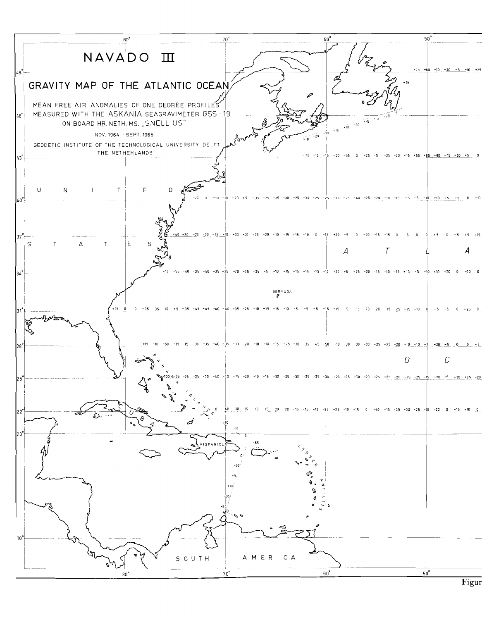